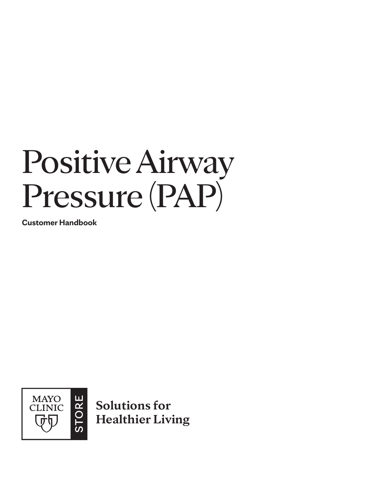# Positive Airway Pressure (PAP)

**Customer Handbook**



**Solutions for Healthier Living**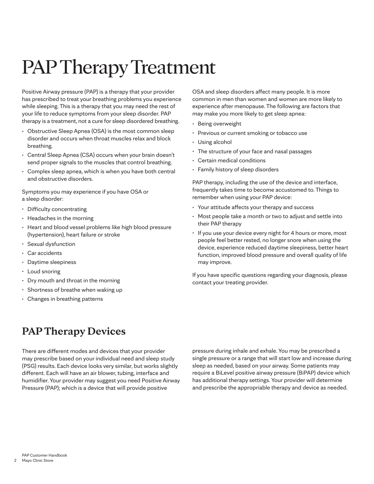## PAP Therapy Treatment

Positive Airway pressure (PAP) is a therapy that your provider has prescribed to treat your breathing problems you experience while sleeping. This is a therapy that you may need the rest of your life to reduce symptoms from your sleep disorder. PAP therapy is a treatment, not a cure for sleep disordered breathing.

- Obstructive Sleep Apnea (OSA) is the most common sleep disorder and occurs when throat muscles relax and block breathing.
- Central Sleep Apnea (CSA) occurs when your brain doesn't send proper signals to the muscles that control breathing.
- Complex sleep apnea, which is when you have both central and obstructive disorders.

Symptoms you may experience if you have OSA or a sleep disorder:

- Difficulty concentrating
- Headaches in the morning
- Heart and blood vessel problems like high blood pressure (hypertension), heart failure or stroke
- Sexual dysfunction
- Car accidents
- Daytime sleepiness
- Loud snoring
- Dry mouth and throat in the morning
- Shortness of breathe when waking up
- Changes in breathing patterns

OSA and sleep disorders affect many people. It is more common in men than women and women are more likely to experience after menopause. The following are factors that may make you more likely to get sleep apnea:

- Being overweight
- Previous or current smoking or tobacco use
- Using alcohol
- The structure of your face and nasal passages
- Certain medical conditions
- Family history of sleep disorders

PAP therapy, including the use of the device and interface, frequently takes time to become accustomed to. Things to remember when using your PAP device:

- Your attitude affects your therapy and success
- Most people take a month or two to adjust and settle into their PAP therapy
- If you use your device every night for 4 hours or more, most people feel better rested, no longer snore when using the device, experience reduced daytime sleepiness, better heart function, improved blood pressure and overall quality of life may improve.

If you have specific questions regarding your diagnosis, please contact your treating provider.

### **PAP Therapy Devices**

There are different modes and devices that your provider may prescribe based on your individual need and sleep study (PSG) results. Each device looks very similar, but works slightly different. Each will have an air blower, tubing, interface and humidifier. Your provider may suggest you need Positive Airway Pressure (PAP); which is a device that will provide positive

pressure during inhale and exhale. You may be prescribed a single pressure or a range that will start low and increase during sleep as needed, based on your airway. Some patients may require a BiLevel positive airway pressure (BiPAP) device which has additional therapy settings. Your provider will determine and prescribe the appropriable therapy and device as needed.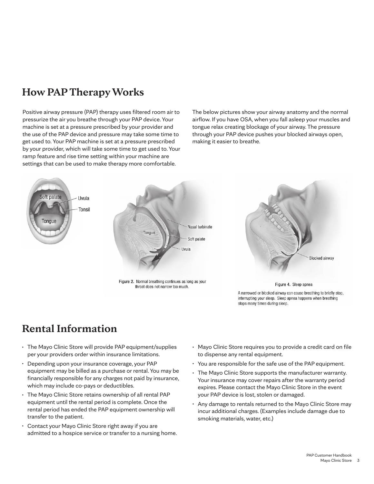## <span id="page-2-0"></span>**How PAP Therapy Works**

Positive airway pressure (PAP) therapy uses filtered room air to pressurize the air you breathe through your PAP device. Your machine is set at a pressure prescribed by your provider and the use of the PAP device and pressure may take some time to get used to. Your PAP machine is set at a pressure prescribed by your provider, which will take some time to get used to. Your ramp feature and rise time setting within your machine are settings that can be used to make therapy more comfortable.

The below pictures show your airway anatomy and the normal airflow. If you have OSA, when you fall asleep your muscles and tongue relax creating blockage of your airway. The pressure through your PAP device pushes your blocked airways open, making it easier to breathe.



### **Rental Information**

- The Mayo Clinic Store will provide PAP equipment/supplies per your providers order within insurance limitations.
- Depending upon your insurance coverage, your PAP equipment may be billed as a purchase or rental. You may be financially responsible for any charges not paid by insurance, which may include co-pays or deductibles.
- The Mayo Clinic Store retains ownership of all rental PAP equipment until the rental period is complete. Once the rental period has ended the PAP equipment ownership will transfer to the patient.
- Contact your Mayo Clinic Store right away if you are admitted to a hospice service or transfer to a nursing home.
- Mayo Clinic Store requires you to provide a credit card on file to dispense any rental equipment.
- You are responsible for the safe use of the PAP equipment.
- The Mayo Clinic Store supports the manufacturer warranty. Your insurance may cover repairs after the warranty period expires. Please contact the Mayo Clinic Store in the event your PAP device is lost, stolen or damaged.
- Any damage to rentals returned to the Mayo Clinic Store may incur additional charges. (Examples include damage due to smoking materials, water, etc.)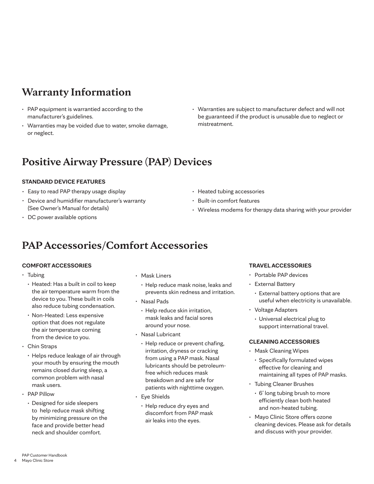## <span id="page-3-0"></span>**Warranty Information**

- PAP equipment is warrantied according to the manufacturer's guidelines.
- Warranties may be voided due to water, smoke damage, or neglect.
- Warranties are subject to manufacturer defect and will not be guaranteed if the product is unusable due to neglect or mistreatment.

### **Positive Airway Pressure (PAP) Devices**

### **STANDARD DEVICE FEATURES**

- Easy to read PAP therapy usage display
- Device and humidifier manufacturer's warranty (See Owner's Manual for details)
- DC power available options
- Heated tubing accessories
- Built-in comfort features
- Wireless modems for therapy data sharing with your provider

### **PAP Accessories/Comfort Accessories**

### **COMFORT ACCESSORIES**

- Tubing
	- Heated: Has a built in coil to keep the air temperature warm from the device to you. These built in coils also reduce tubing condensation.
	- Non-Heated: Less expensive option that does not regulate the air temperature coming from the device to you.
- Chin Straps
	- Helps reduce leakage of air through your mouth by ensuring the mouth remains closed during sleep, a common problem with nasal mask users.
- PAP Pillow
	- Designed for side sleepers to help reduce mask shifting by minimizing pressure on the face and provide better head neck and shoulder comfort.
- Mask Liners
	- Help reduce mask noise, leaks and prevents skin redness and irritation.
- Nasal Pads
- Help reduce skin irritation, mask leaks and facial sores around your nose.
- Nasal Lubricant
	- Help reduce or prevent chafing, irritation, dryness or cracking from using a PAP mask. Nasal lubricants should be petroleumfree which reduces mask breakdown and are safe for patients with nighttime oxygen.
- Eye Shields
	- Help reduce dry eyes and discomfort from PAP mask air leaks into the eyes.

### **TRAVEL ACCESSORIES**

- Portable PAP devices
- External Battery
	- External battery options that are useful when electricity is unavailable.
- Voltage Adapters
	- Universal electrical plug to support international travel.

### **CLEANING ACCESSORIES**

- Mask Cleaning Wipes
	- Specifically formulated wipes effective for cleaning and maintaining all types of PAP masks.
- Tubing Cleaner Brushes
	- 6' long tubing brush to more efficiently clean both heated and non-heated tubing.
- Mayo Clinic Store offers ozone cleaning devices. Please ask for details and discuss with your provider.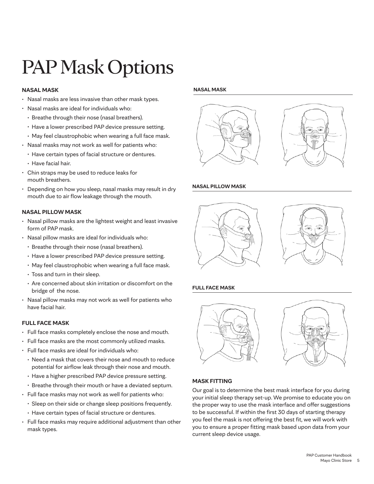## PAP Mask Options

### **NASAL MASK**

- Nasal masks are less invasive than other mask types.
- Nasal masks are ideal for individuals who:
	- Breathe through their nose (nasal breathers).
	- Have a lower prescribed PAP device pressure setting.
	- May feel claustrophobic when wearing a full face mask.
- Nasal masks may not work as well for patients who:
	- Have certain types of facial structure or dentures.
	- Have facial hair.
- Chin straps may be used to reduce leaks for mouth breathers.
- Depending on how you sleep, nasal masks may result in dry mouth due to air flow leakage through the mouth.

### **NASAL PILLOW MASK**

- Nasal pillow masks are the lightest weight and least invasive form of PAP mask.
- Nasal pillow masks are ideal for individuals who:
	- Breathe through their nose (nasal breathers).
	- Have a lower prescribed PAP device pressure setting.
	- May feel claustrophobic when wearing a full face mask.
	- Toss and turn in their sleep.
	- Are concerned about skin irritation or discomfort on the bridge of the nose.
- Nasal pillow masks may not work as well for patients who have facial hair.

### **FULL FACE MASK**

- Full face masks completely enclose the nose and mouth.
- Full face masks are the most commonly utilized masks.
- Full face masks are ideal for individuals who:
	- Need a mask that covers their nose and mouth to reduce potential for airflow leak through their nose and mouth.
	- Have a higher prescribed PAP device pressure setting.
	- Breathe through their mouth or have a deviated septum.
- Full face masks may not work as well for patients who:
	- Sleep on their side or change sleep positions frequently.
	- Have certain types of facial structure or dentures.
- Full face masks may require additional adjustment than other mask types.

#### **NASAL MASK**





#### **NASAL PILLOW MASK**





### **FULL FACE MASK**



### **MASK FITTING**

Our goal is to determine the best mask interface for you during your initial sleep therapy set-up. We promise to educate you on the proper way to use the mask interface and offer suggestions to be successful. If within the first 30 days of starting therapy you feel the mask is not offering the best fit, we will work with you to ensure a proper fitting mask based upon data from your current sleep device usage.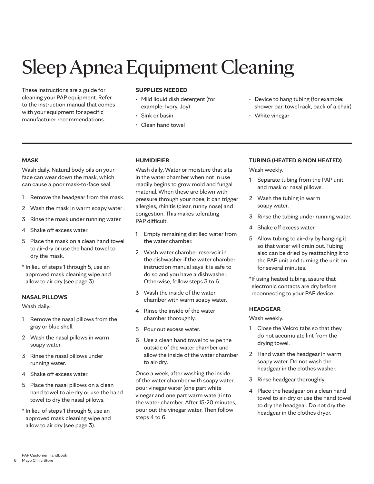## Sleep Apnea Equipment Cleaning

These instructions are a guide for cleaning your PAP equipment. Refer to the instruction manual that comes with your equipment for specific manufacturer recommendations.

### **SUPPLIES NEEDED**

- Mild liquid dish detergent (for example: Ivory, Joy)
- Sink or basin
- Clean hand towel
- Device to hang tubing (for example: shower bar, towel rack, back of a chair)
- White vinegar

### **MASK**

Wash daily. Natural body oils on your face can wear down the mask, which can cause a poor mask-to-face seal.

- 1 Remove the headgear from the mask.
- 2 Wash the mask in warm soapy water .
- 3 Rinse the mask under running water.
- 4 Shake off excess water.
- 5 Place the mask on a clean hand towel to air-dry or use the hand towel to dry the mask.
- \* In lieu of steps 1 through 5, use an approved mask cleaning wipe and allow to air dry [\(see page 3\)](#page-2-0).

### **NASAL PILLOWS**

Wash daily.

- 1 Remove the nasal pillows from the gray or blue shell.
- 2 Wash the nasal pillows in warm soapy water.
- 3 Rinse the nasal pillows under running water.
- 4 Shake off excess water.
- 5 Place the nasal pillows on a clean hand towel to air-dry or use the hand towel to dry the nasal pillows.
- \* In lieu of steps 1 through 5, use an approved mask cleaning wipe and allow to air dry [\(see page 3\)](#page-2-0).

### **HUMIDIFIER**

Wash daily. Water or moisture that sits in the water chamber when not in use readily begins to grow mold and fungal material. When these are blown with pressure through your nose, it can trigger allergies, rhinitis (clear, runny nose) and congestion. This makes tolerating PAP difficult.

- 1 Empty remaining distilled water from the water chamber.
- 2 Wash water chamber reservoir in the dishwasher if the water chamber instruction manual says it is safe to do so and you have a dishwasher. Otherwise, follow steps 3 to 6.
- 3 Wash the inside of the water chamber with warm soapy water.
- 4 Rinse the inside of the water chamber thoroughly.
- 5 Pour out excess water.
- 6 Use a clean hand towel to wipe the outside of the water chamber and allow the inside of the water chamber to air-dry.

Once a week, after washing the inside of the water chamber with soapy water, pour vinegar water (one part white vinegar and one part warm water) into the water chamber. After 15-20 minutes, pour out the vinegar water. Then follow steps 4 to 6.

### **TUBING (HEATED & NON HEATED)**

Wash weekly.

- 1 Separate tubing from the PAP unit and mask or nasal pillows.
- 2 Wash the tubing in warm soapy water.
- 3 Rinse the tubing under running water.
- 4 Shake off excess water.
- 5 Allow tubing to air-dry by hanging it so that water will drain out. Tubing also can be dried by reattaching it to the PAP unit and turning the unit on for several minutes.
- \*If using heated tubing, assure that electronic contacts are dry before reconnecting to your PAP device.

### **HEADGEAR**

Wash weekly.

- 1 Close the Velcro tabs so that they do not accumulate lint from the drying towel.
- 2 Hand wash the headgear in warm soapy water. Do not wash the headgear in the clothes washer.
- 3 Rinse headgear thoroughly.
- 4 Place the headgear on a clean hand towel to air-dry or use the hand towel to dry the headgear. Do not dry the headgear in the clothes dryer.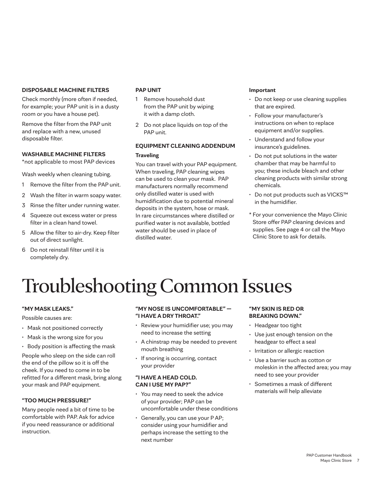### **DISPOSABLE MACHINE FILTERS**

Check monthly (more often if needed, for example; your PAP unit is in a dusty room or you have a house pet).

Remove the filter from the PAP unit and replace with a new, unused disposable filter.

### **WASHABLE MACHINE FILTERS**

\*not applicable to most PAP devices

Wash weekly when cleaning tubing.

- 1 Remove the filter from the PAP unit.
- 2 Wash the filter in warm soapy water.
- 3 Rinse the filter under running water.
- 4 Squeeze out excess water or press filter in a clean hand towel.
- 5 Allow the filter to air-dry. Keep filter out of direct sunlight.
- 6 Do not reinstall filter until it is completely dry.

### **PAP UNIT**

- 1 Remove household dust from the PAP unit by wiping it with a damp cloth.
- 2 Do not place liquids on top of the PAP unit.

### **EQUIPMENT CLEANING ADDENDUM Traveling**

You can travel with your PAP equipment. When traveling, PAP cleaning wipes can be used to clean your mask. PAP manufacturers normally recommend only distilled water is used with humidification due to potential mineral deposits in the system, hose or mask. In rare circumstances where distilled or purified water is not available, bottled water should be used in place of distilled water.

#### **Important**

- Do not keep or use cleaning supplies that are expired.
- Follow your manufacturer's instructions on when to replace equipment and/or supplies.
- Understand and follow your insurance's guidelines.
- Do not put solutions in the water chamber that may be harmful to you; these include bleach and other cleaning products with similar strong chemicals.
- Do not put products such as VICKS™ in the humidifier.
- \* For your convenience the Mayo Clinic Store offer PAP cleaning devices and supplies. [See page 4](#page-3-0) or call the Mayo Clinic Store to ask for details.

## Troubleshooting Common Issues

### **"MY MASK LEAKS."**

Possible causes are:

- Mask not positioned correctly
- Mask is the wrong size for you
- Body position is affecting the mask

People who sleep on the side can roll the end of the pillow so it is off the cheek. If you need to come in to be refitted for a different mask, bring along your mask and PAP equipment.

### **"TOO MUCH PRESSURE!"**

Many people need a bit of time to be comfortable with PAP. Ask for advice if you need reassurance or additional instruction.

### **"MY NOSE IS UNCOMFORTABLE" — "I HAVE A DRY THROAT."**

- Review your humidifier use; you may need to increase the setting
- A chinstrap may be needed to prevent mouth breathing
- If snoring is occurring, contact your provider

#### **"I HAVE A HEAD COLD. CAN I USE MY PAP?"**

- You may need to seek the advice of your provider; PAP can be uncomfortable under these conditions
- Generally, you can use your P AP; consider using your humidifier and perhaps increase the setting to the next number

### **"MY SKIN IS RED OR BREAKING DOWN."**

- Headgear too tight
- Use just enough tension on the headgear to effect a seal
- Irritation or allergic reaction
- Use a barrier such as cotton or moleskin in the affected area; you may need to see your provider
- Sometimes a mask of different materials will help alleviate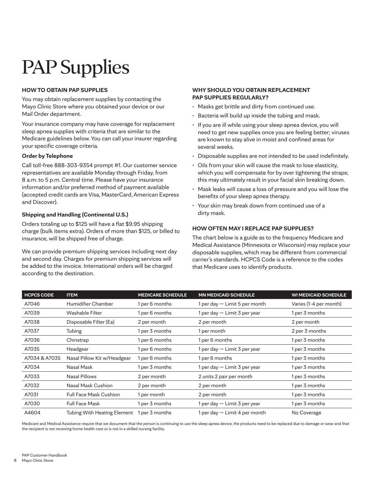## PAP Supplies

### **HOW TO OBTAIN PAP SUPPLIES**

You may obtain replacement supplies by contacting the Mayo Clinic Store where you obtained your device or our Mail Order department.

Your insurance company may have coverage for replacement sleep apnea supplies with criteria that are similar to the Medicare guidelines below. You can call your insurer regarding your specific coverage criteria.

### **Order by Telephone**

Call toll-free 888-303-9354 prompt #1. Our customer service representatives are available Monday through Friday, from 8 a.m. to 5 p.m. Central time. Please have your insurance information and/or preferred method of payment available (accepted credit cards are Visa, MasterCard, American Express and Discover).

### **Shipping and Handling (Continental U.S.)**

Orders totaling up to \$125 will have a flat \$9.95 shipping charge (bulk items extra). Orders of more than \$125, or billed to insurance, will be shipped free of charge.

We can provide premium shipping services including next day and second day. Charges for premium shipping services will be added to the invoice. International orders will be charged according to the destination.

#### **WHY SHOULD YOU OBTAIN REPLACEMENT PAP SUPPLIES REGULARLY?**

- Masks get brittle and dirty from continued use.
- Bacteria will build up inside the tubing and mask.
- If you are ill while using your sleep apnea device, you will need to get new supplies once you are feeling better; viruses are known to stay alive in moist and confined areas for several weeks.
- Disposable supplies are not intended to be used indefinitely.
- Oils from your skin will cause the mask to lose elasticity, which you will compensate for by over tightening the straps; this may ultimately result in your facial skin breaking down.
- Mask leaks will cause a loss of pressure and you will lose the benefits of your sleep apnea therapy.
- Your skin may break down from continued use of a dirty mask.

### **HOW OFTEN MAY I REPLACE PAP SUPPLIES?**

The chart below is a guide as to the frequency Medicare and Medical Assistance (Minnesota or Wisconsin) may replace your disposable supplies, which may be different from commercial carrier's standards. HCPCS Code is a reference to the codes that Medicare uses to identify products.

| <b>HCPCS CODE</b> | <b>ITEM</b>                   | <b>MEDICARE SCHEDULE</b> | <b>MN MEDICAID SCHEDULE</b>   | <b>WI MEDICAID SCHEDULE</b> |
|-------------------|-------------------------------|--------------------------|-------------------------------|-----------------------------|
| A7046             | Humidifier Chamber            | 1 per 6 months           | per day - Limit 5 per month   | Varies (1-4 per month)      |
| A7039             | Washable Filter               | 1 per 6 months           | 1 per day — Limit 3 per year  | 1 per 3 months              |
| A7038             | Disposable Filter (Ea)        | 2 per month              | 2 per month                   | 2 per month                 |
| A7037             | Tubing                        | 1 per 3 months           | per month                     | 2 per 3 months              |
| A7036             | Chinstrap                     | 1 per 6 months           | 1 per 6 months                | 1 per 3 months              |
| A7035             | Headgear                      | 1 per 6 months           | l per day — Limit 3 per year  | 1 per 3 months              |
| A7034 & A7035     | Nasal Pillow Kit w/Headgear   | 1 per 6 months           | 1 per 6 months                | 1 per 3 months              |
| A7034             | Nasal Mask                    | 1 per 3 months           | 1 per day - Limit 3 per year  | 1 per 3 months              |
| A7033             | Nasal Pillows                 | 2 per month              | 2 units 2 pair per month      | 1 per 3 months              |
| A7032             | Nasal Mask Cushion            | 2 per month              | 2 per month                   | 1 per 3 months              |
| A7031             | <b>Full Face Mask Cushion</b> | 1 per month              | 2 per month                   | 1 per 3 months              |
| A7030             | <b>Full Face Mask</b>         | l per 3 months           | per day - Limit 3 per year    | 1 per 3 months              |
| A4604             | Tubing With Heating Element   | 1 per 3 months           | $per day - Limit 4 per month$ | No Coverage                 |

Medicare and Medical Assistance require that we document that the person is continuing to use the sleep apnea device, the products need to be replaced due to damage or wear and that the recipient is not receiving home health care or is not in a skilled nursing facility.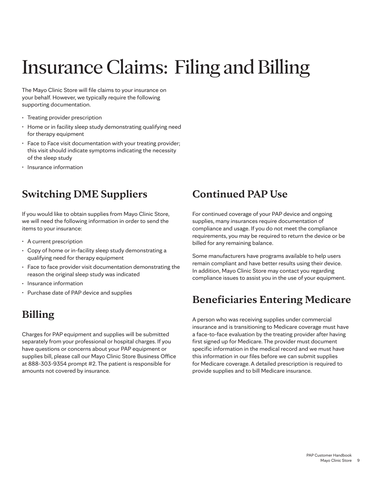## Insurance Claims: Filing and Billing

The Mayo Clinic Store will file claims to your insurance on your behalf. However, we typically require the following supporting documentation.

- Treating provider prescription
- Home or in facility sleep study demonstrating qualifying need for therapy equipment
- Face to Face visit documentation with your treating provider; this visit should indicate symptoms indicating the necessity of the sleep study
- Insurance information

### **Switching DME Suppliers**

If you would like to obtain supplies from Mayo Clinic Store, we will need the following information in order to send the items to your insurance:

- A current prescription
- Copy of home or in-facility sleep study demonstrating a qualifying need for therapy equipment
- Face to face provider visit documentation demonstrating the reason the original sleep study was indicated
- Insurance information
- Purchase date of PAP device and supplies

### **Billing**

Charges for PAP equipment and supplies will be submitted separately from your professional or hospital charges. If you have questions or concerns about your PAP equipment or supplies bill, please call our Mayo Clinic Store Business Office at 888-303-9354 prompt #2. The patient is responsible for amounts not covered by insurance.

### **Continued PAP Use**

For continued coverage of your PAP device and ongoing supplies, many insurances require documentation of compliance and usage. If you do not meet the compliance requirements, you may be required to return the device or be billed for any remaining balance.

Some manufacturers have programs available to help users remain compliant and have better results using their device. In addition, Mayo Clinic Store may contact you regarding compliance issues to assist you in the use of your equipment.

### **Beneficiaries Entering Medicare**

A person who was receiving supplies under commercial insurance and is transitioning to Medicare coverage must have a face-to-face evaluation by the treating provider after having first signed up for Medicare. The provider must document specific information in the medical record and we must have this information in our files before we can submit supplies for Medicare coverage. A detailed prescription is required to provide supplies and to bill Medicare insurance.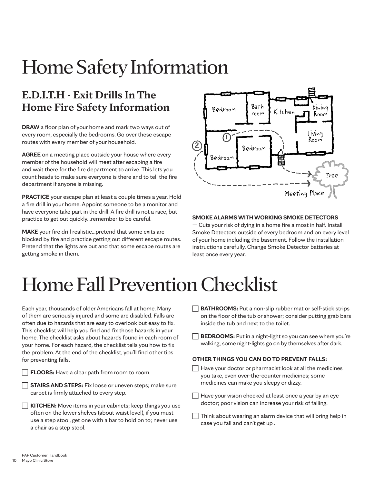## Home Safety Information

## **E.D.I.T.H - Exit Drills In The Home Fire Safety Information**

**DRAW** a floor plan of your home and mark two ways out of every room, especially the bedrooms. Go over these escape routes with every member of your household.

**AGREE** on a meeting place outside your house where every member of the household will meet after escaping a fire and wait there for the fire department to arrive. This lets you count heads to make sure everyone is there and to tell the fire department if anyone is missing.

**PRACTICE** your escape plan at least a couple times a year. Hold a fire drill in your home. Appoint someone to be a monitor and have everyone take part in the drill. A fire drill is not a race, but practice to get out quickly…remember to be careful.

**MAKE** your fire drill realistic…pretend that some exits are blocked by fire and practice getting out different escape routes. Pretend that the lights are out and that some escape routes are getting smoke in them.



### **SMOKE ALARMS WITH WORKING SMOKE DETECTORS**

— Cuts your risk of dying in a home fire almost in half. Install Smoke Detectors outside of every bedroom and on every level of your home including the basement. Follow the installation instructions carefully. Change Smoke Detector batteries at least once every year.

## Home Fall Prevention Checklist

Each year, thousands of older Americans fall at home. Many of them are seriously injured and some are disabled. Falls are often due to hazards that are easy to overlook but easy to fix. This checklist will help you find and fix those hazards in your home. The checklist asks about hazards found in each room of your home. For each hazard, the checklist tells you how to fix the problem. At the end of the checklist, you'll find other tips for preventing falls.

**FLOORS:** Have a clear path from room to room.

**STAIRS AND STEPS:** Fix loose or uneven steps; make sure carpet is firmly attached to every step.

**KITCHEN:** Move items in your cabinets; keep things you use often on the lower shelves (about waist level), if you must use a step stool, get one with a bar to hold on to; never use a chair as a step stool.

- **BATHROOMS:** Put a non-slip rubber mat or self-stick strips on the floor of the tub or shower; consider putting grab bars inside the tub and next to the toilet.
- **BEDROOMS:** Put in a night-light so you can see where you're walking; some night-lights go on by themselves after dark.

#### **OTHER THINGS YOU CAN DO TO PREVENT FALLS:**

- $\Box$  Have your doctor or pharmacist look at all the medicines you take, even over-the-counter medicines; some medicines can make you sleepy or dizzy.
- Have your vision checked at least once a year by an eye doctor; poor vision can increase your risk of falling.
- $\Box$  Think about wearing an alarm device that will bring help in case you fall and can't get up .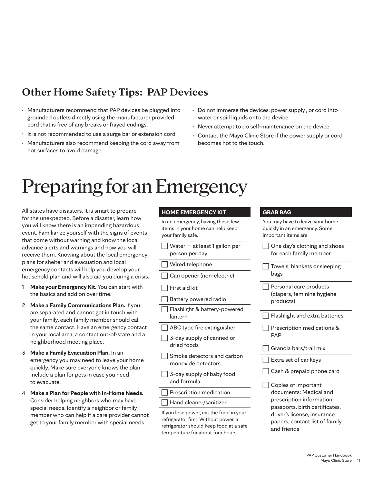## **Other Home Safety Tips: PAP Devices**

- Manufacturers recommend that PAP devices be plugged into grounded outlets directly using the manufacturer provided cord that is free of any breaks or frayed endings.
- It is not recommended to use a surge bar or extension cord.
- Manufacturers also recommend keeping the cord away from hot surfaces to avoid damage.
- Do not immerse the devices, power supply , or cord into water or spill liquids onto the device.
- Never attempt to do self-maintenance on the device.
- Contact the Mayo Clinic Store if the power supply or cord becomes hot to the touch.

## Preparing for an Emergency

All states have disasters. It is smart to prepare for the unexpected. Before a disaster, learn how you will know there is an impending hazardous event. Familiarize yourself with the signs of events that come without warning and know the local advance alerts and warnings and how you will receive them. Knowing about the local emergency plans for shelter and evacuation and local emergency contacts will help you develop your household plan and will also aid you during a crisis.

- 1 **Make your Emergency Kit.** You can start with the basics and add on over time.
- 2 **Make a Family Communications Plan.** If you are separated and cannot get in touch with your family, each family member should call the same contact. Have an emergency contact in your local area, a contact out-of-state and a neighborhood meeting place.
- 3 **Make a Family Evacuation Plan.** In an emergency you may need to leave your home quickly. Make sure everyone knows the plan. Include a plan for pets in case you need to evacuate.
- 4 **Make a Plan for People with In-Home Needs.**  Consider helping neighbors who may have special needs. Identify a neighbor or family member who can help if a care provider cannot get to your family member with special needs.

#### **HOME EMERGENCY KIT**

In an emergency, having these few items in your home can help keep your family safe.

- Water at least 1 gallon per person per day
- Wired telephone

Can opener (non-electric)

First aid kit

- Battery powered radio
- Flashlight & battery-powered lantern
- ABC type fire extinguisher
- 3-day supply of canned or dried foods
- Smoke detectors and carbon monoxide detectors
- 3-day supply of baby food and formula
- Prescription medication

Hand cleaner/sanitizer

If you lose power, eat the food in your refrigerator first. Without power, a refrigerator should keep food at a safe temperature for about four hours.

#### **GRAB BAG**

| You may have to leave your home<br>quickly in an emergency. Some<br>important items are                                                                                                      |
|----------------------------------------------------------------------------------------------------------------------------------------------------------------------------------------------|
| One day's clothing and shoes<br>for each family member                                                                                                                                       |
| Towels, blankets or sleeping<br>bags                                                                                                                                                         |
| Personal care products<br>(diapers, feminine hygiene<br>products)                                                                                                                            |
| Flashlight and extra batteries                                                                                                                                                               |
| Prescription medications &<br><b>PAP</b>                                                                                                                                                     |
| Granola bars/trail mix                                                                                                                                                                       |
| Extra set of car keys                                                                                                                                                                        |
| Cash & prepaid phone card                                                                                                                                                                    |
| Copies of important<br>documents: Medical and<br>prescription information,<br>passports, birth certificates,<br>driver's license, insurance<br>papers, contact list of family<br>and friends |